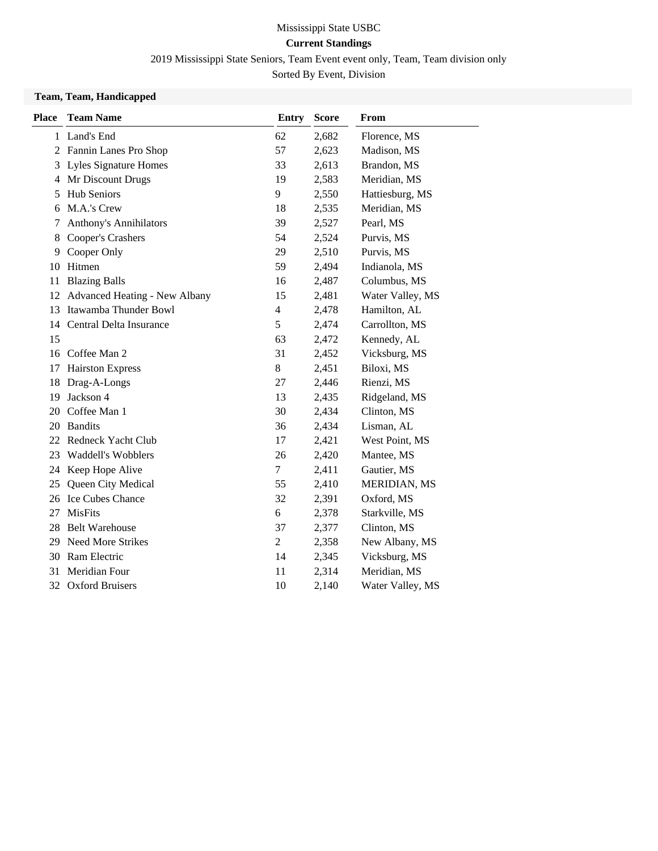### Mississippi State USBC **Current Standings**

2019 Mississippi State Seniors, Team Event event only, Team, Team division only

Sorted By Event, Division

#### **Team, Team, Handicapped**

| <b>Place</b> | <b>Team Name</b>                     | <b>Entry</b>             | <b>Score</b> | From                |
|--------------|--------------------------------------|--------------------------|--------------|---------------------|
|              | 1 Land's End                         | 62                       | 2,682        | Florence, MS        |
|              | 2 Fannin Lanes Pro Shop              | 57                       | 2,623        | Madison, MS         |
|              | 3 Lyles Signature Homes              | 33                       | 2,613        | Brandon, MS         |
|              | 4 Mr Discount Drugs                  | 19                       | 2,583        | Meridian, MS        |
| 5            | <b>Hub Seniors</b>                   | 9                        | 2,550        | Hattiesburg, MS     |
| 6            | M.A.'s Crew                          | 18                       | 2,535        | Meridian, MS        |
| 7            | <b>Anthony's Annihilators</b>        | 39                       | 2,527        | Pearl, MS           |
| 8            | Cooper's Crashers                    | 54                       | 2,524        | Purvis, MS          |
| 9            | Cooper Only                          | 29                       | 2,510        | Purvis, MS          |
| 10           | Hitmen                               | 59                       | 2,494        | Indianola, MS       |
| 11           | <b>Blazing Balls</b>                 | 16                       | 2,487        | Columbus, MS        |
| 12           | <b>Advanced Heating - New Albany</b> | 15                       | 2,481        | Water Valley, MS    |
| 13           | Itawamba Thunder Bowl                | $\overline{\mathcal{L}}$ | 2,478        | Hamilton, AL        |
| 14           | Central Delta Insurance              | 5                        | 2,474        | Carrollton, MS      |
| 15           |                                      | 63                       | 2,472        | Kennedy, AL         |
| 16           | Coffee Man 2                         | 31                       | 2,452        | Vicksburg, MS       |
| 17           | <b>Hairston Express</b>              | 8                        | 2,451        | Biloxi, MS          |
| 18           | Drag-A-Longs                         | 27                       | 2,446        | Rienzi, MS          |
| 19           | Jackson 4                            | 13                       | 2,435        | Ridgeland, MS       |
| 20           | Coffee Man 1                         | 30                       | 2,434        | Clinton, MS         |
| 20           | <b>Bandits</b>                       | 36                       | 2,434        | Lisman, AL          |
| 22           | Redneck Yacht Club                   | 17                       | 2,421        | West Point, MS      |
| 23           | <b>Waddell's Wobblers</b>            | 26                       | 2,420        | Mantee, MS          |
| 24           | Keep Hope Alive                      | 7                        | 2,411        | Gautier, MS         |
| 25           | Queen City Medical                   | 55                       | 2,410        | <b>MERIDIAN, MS</b> |
| 26           | <b>Ice Cubes Chance</b>              | 32                       | 2,391        | Oxford, MS          |
| 27           | <b>MisFits</b>                       | 6                        | 2,378        | Starkville, MS      |
| 28.          | <b>Belt Warehouse</b>                | 37                       | 2,377        | Clinton, MS         |
|              | 29 Need More Strikes                 | $\overline{c}$           | 2,358        | New Albany, MS      |
|              | 30 Ram Electric                      | 14                       | 2,345        | Vicksburg, MS       |
| 31           | Meridian Four                        | 11                       | 2,314        | Meridian, MS        |
|              | 32 Oxford Bruisers                   | 10                       | 2,140        | Water Valley, MS    |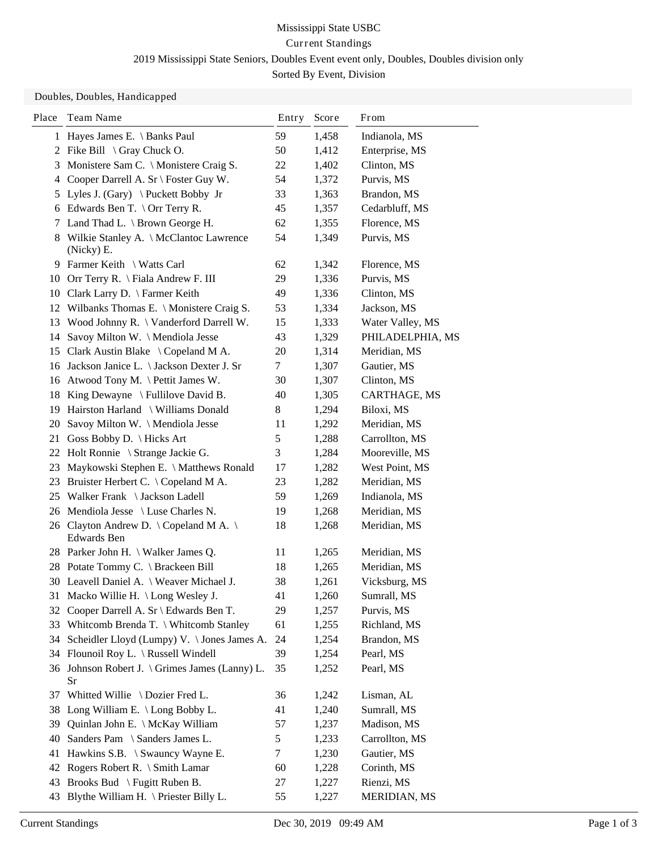Doubles, Doubles, Handicapped

| Place | Team Name                                              | Entry<br>Score |       | From                |
|-------|--------------------------------------------------------|----------------|-------|---------------------|
|       | 1 Hayes James E. \ Banks Paul                          | 59             | 1,458 | Indianola, MS       |
| 2     | Fike Bill $\setminus$ Gray Chuck O.                    | 50             | 1,412 | Enterprise, MS      |
| 3     | Monistere Sam C. \ Monistere Craig S.                  | 22             | 1,402 | Clinton, MS         |
| 4     | Cooper Darrell A. Sr \ Foster Guy W.                   | 54             | 1,372 | Purvis, MS          |
| 5     | Lyles J. (Gary) \ Puckett Bobby Jr                     | 33             | 1,363 | Brandon, MS         |
|       | 6 Edwards Ben T. \ Orr Terry R.                        | 45             | 1,357 | Cedarbluff, MS      |
| 7     | Land Thad L. $\setminus$ Brown George H.               | 62             | 1,355 | Florence, MS        |
|       | 8 Wilkie Stanley A. \ McClantoc Lawrence<br>(Nicky) E. | 54             | 1,349 | Purvis, MS          |
|       | 9 Farmer Keith \ Watts Carl                            | 62             | 1,342 | Florence, MS        |
|       | 10 Orr Terry R. \ Fiala Andrew F. III                  | 29             | 1,336 | Purvis, MS          |
|       | 10 Clark Larry D. \ Farmer Keith                       | 49             | 1,336 | Clinton, MS         |
|       | 12 Wilbanks Thomas E. \ Monistere Craig S.             | 53             | 1,334 | Jackson, MS         |
| 13    | Wood Johnny R. \ Vanderford Darrell W.                 | 15             | 1,333 | Water Valley, MS    |
| 14    | Savoy Milton W. \ Mendiola Jesse                       | 43             | 1,329 | PHILADELPHIA, MS    |
| 15    | Clark Austin Blake \ Copeland M A.                     | 20             | 1,314 | Meridian, MS        |
| 16    | Jackson Janice L. \ Jackson Dexter J. Sr               | 7              | 1,307 | Gautier, MS         |
| 16    | Atwood Tony M. \ Pettit James W.                       | 30             | 1,307 | Clinton, MS         |
| 18    | King Dewayne $\setminus$ Fullilove David B.            | 40             | 1,305 | CARTHAGE, MS        |
|       | 19 Hairston Harland \ Williams Donald                  | $8\,$          | 1,294 | Biloxi, MS          |
| 20    | Savoy Milton W. \ Mendiola Jesse                       | 11             | 1,292 | Meridian, MS        |
| 21    | Goss Bobby D. \ Hicks Art                              | 5              | 1,288 | Carrollton, MS      |
|       | 22 Holt Ronnie \ Strange Jackie G.                     | 3              | 1,284 | Mooreville, MS      |
| 23    | Maykowski Stephen E. \ Matthews Ronald                 | 17             | 1,282 | West Point, MS      |
| 23    | Bruister Herbert C. \ Copeland M A.                    | 23             | 1,282 | Meridian, MS        |
| 25    | Walker Frank \ Jackson Ladell                          | 59             | 1,269 | Indianola, MS       |
| 26    | Mendiola Jesse $\setminus$ Luse Charles N.             | 19             | 1,268 | Meridian, MS        |
|       | 26 Clayton Andrew D. \ Copeland M A. \<br>Edwards Ben  | 18             | 1,268 | Meridian, MS        |
|       | 28 Parker John H. \ Walker James Q.                    | 11             | 1,265 | Meridian, MS        |
|       | 28 Potate Tommy C. \ Brackeen Bill                     | 18             | 1,265 | Meridian, MS        |
|       | 30 Leavell Daniel A. \ Weaver Michael J.               | 38             | 1,261 | Vicksburg, MS       |
|       | 31 Macko Willie H. \ Long Wesley J.                    | 41             | 1,260 | Sumrall, MS         |
| 32    | Cooper Darrell A. Sr \ Edwards Ben T.                  | 29             | 1,257 | Purvis, MS          |
| 33    | Whitcomb Brenda T. \ Whitcomb Stanley                  | 61             | 1,255 | Richland, MS        |
| 34    | Scheidler Lloyd (Lumpy) V. \Jones James A.             | 24             | 1,254 | Brandon, MS         |
|       | 34 Flounoil Roy L. \ Russell Windell                   | 39             | 1,254 | Pearl, MS           |
|       | 36 Johnson Robert J. \ Grimes James (Lanny) L.<br>Sr   | 35             | 1,252 | Pearl, MS           |
|       | 37 Whitted Willie \ Dozier Fred L.                     | 36             | 1,242 | Lisman, AL          |
| 38    | Long William E. \ Long Bobby L.                        | 41             | 1,240 | Sumrall, MS         |
| 39    | Quinlan John E. \ McKay William                        | 57             | 1,237 | Madison, MS         |
| 40    | Sanders Pam \ Sanders James L.                         | 5              | 1,233 | Carrollton, MS      |
| 41    | Hawkins S.B. \ Swauncy Wayne E.                        | 7              | 1,230 | Gautier, MS         |
| 42    | Rogers Robert R. \ Smith Lamar                         | 60             | 1,228 | Corinth, MS         |
| 43    | Brooks Bud \ Fugitt Ruben B.                           | 27             | 1,227 | Rienzi, MS          |
| 43    | Blythe William H. \ Priester Billy L.                  | 55             | 1,227 | <b>MERIDIAN, MS</b> |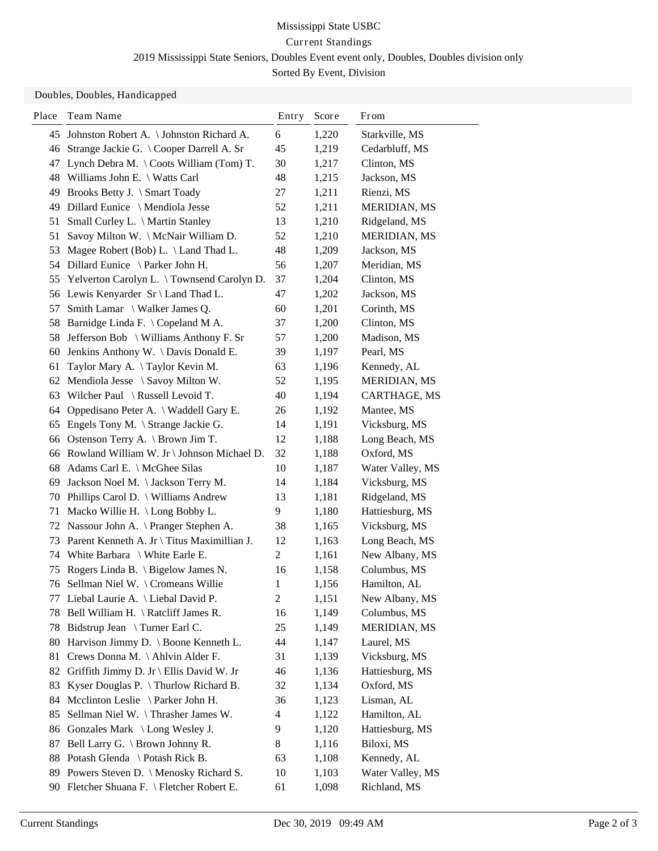#### Doubles, Doubles, Handicapped

| Place | Team Name                                         | Entry                    | Score | From                |
|-------|---------------------------------------------------|--------------------------|-------|---------------------|
| 45    | Johnston Robert A. \ Johnston Richard A.          | 6                        | 1,220 | Starkville, MS      |
| 46    | Strange Jackie G. \ Cooper Darrell A. Sr          | 45                       | 1,219 | Cedarbluff, MS      |
| 47    | Lynch Debra M. $\setminus$ Coots William (Tom) T. | 30                       | 1,217 | Clinton, MS         |
| 48    | Williams John E. \ Watts Carl                     | 48                       | 1,215 | Jackson, MS         |
| 49    | Brooks Betty J. \ Smart Toady                     | 27                       | 1,211 | Rienzi, MS          |
| 49    | Dillard Eunice \ Mendiola Jesse                   | 52                       | 1,211 | MERIDIAN, MS        |
| 51    | Small Curley L. \ Martin Stanley                  | 13                       | 1,210 | Ridgeland, MS       |
| 51    | Savoy Milton W. \ McNair William D.               | 52                       | 1,210 | <b>MERIDIAN, MS</b> |
| 53    | Magee Robert (Bob) L. \ Land Thad L.              | 48                       | 1,209 | Jackson, MS         |
| 54    | Dillard Eunice \ Parker John H.                   | 56                       | 1,207 | Meridian, MS        |
| 55    | Yelverton Carolyn L. \Townsend Carolyn D.         | 37                       | 1,204 | Clinton, MS         |
|       | 56 Lewis Kenyarder Sr \ Land Thad L.              | 47                       | 1,202 | Jackson, MS         |
| 57    | Smith Lamar \ Walker James Q.                     | 60                       | 1,201 | Corinth, MS         |
| 58    | Barnidge Linda F. \ Copeland M A.                 | 37                       | 1,200 | Clinton, MS         |
| 58    | Jefferson Bob \ Williams Anthony F. Sr            | 57                       | 1,200 | Madison, MS         |
| 60    | Jenkins Anthony W. \Davis Donald E.               | 39                       | 1,197 | Pearl, MS           |
| 61    | Taylor Mary A. \Taylor Kevin M.                   | 63                       | 1,196 | Kennedy, AL         |
| 62    | Mendiola Jesse \ Savoy Milton W.                  | 52                       | 1,195 | <b>MERIDIAN, MS</b> |
| 63    | Wilcher Paul \ Russell Levoid T.                  | 40                       | 1,194 | CARTHAGE, MS        |
| 64    | Oppedisano Peter A. \ Waddell Gary E.             | 26                       | 1,192 | Mantee, MS          |
| 65    | Engels Tony M. \ Strange Jackie G.                | 14                       | 1,191 | Vicksburg, MS       |
| 66    | Ostenson Terry A. \ Brown Jim T.                  | 12                       | 1,188 | Long Beach, MS      |
|       | 66 Rowland William W. Jr \ Johnson Michael D.     | 32                       | 1,188 | Oxford, MS          |
| 68    | Adams Carl E. \ McGhee Silas                      | 10                       | 1,187 | Water Valley, MS    |
| 69    | Jackson Noel M. \Jackson Terry M.                 | 14                       | 1,184 | Vicksburg, MS       |
| 70    | Phillips Carol D. \ Williams Andrew               | 13                       | 1,181 | Ridgeland, MS       |
| 71    | Macko Willie H. \ Long Bobby L.                   | 9                        | 1,180 | Hattiesburg, MS     |
| 72    | Nassour John A. \ Pranger Stephen A.              | 38                       | 1,165 | Vicksburg, MS       |
| 73    | Parent Kenneth A. Jr \ Titus Maximillian J.       | 12                       | 1,163 | Long Beach, MS      |
| 74    | White Barbara $\setminus$ White Earle E.          | $\overline{c}$           | 1,161 | New Albany, MS      |
| 75    | Rogers Linda B. \ Bigelow James N.                | 16                       | 1,158 | Columbus, MS        |
| 76    | Sellman Niel W. \ Cromeans Willie                 | 1                        | 1,156 | Hamilton, AL        |
|       | 77 Liebal Laurie A. \ Liebal David P.             | $\overline{c}$           | 1,151 | New Albany, MS      |
| 78    | Bell William H. \ Ratcliff James R.               | 16                       | 1,149 | Columbus, MS        |
| 78    | Bidstrup Jean \ Turner Earl C.                    | 25                       | 1,149 | <b>MERIDIAN, MS</b> |
| 80    | Harvison Jimmy D. \ Boone Kenneth L.              | 44                       | 1,147 | Laurel, MS          |
| 81    | Crews Donna M. \Ahlvin Alder F.                   | 31                       | 1,139 | Vicksburg, MS       |
| 82    | Griffith Jimmy D. Jr \ Ellis David W. Jr          | 46                       | 1,136 | Hattiesburg, MS     |
| 83    | Kyser Douglas P. \Thurlow Richard B.              | 32                       | 1,134 | Oxford, MS          |
| 84    | Mcclinton Leslie \ Parker John H.                 | 36                       | 1,123 | Lisman, AL          |
| 85    | Sellman Niel W. \Thrasher James W.                | $\overline{\mathcal{A}}$ | 1,122 | Hamilton, AL        |
| 86    | Gonzales Mark \ Long Wesley J.                    | 9                        | 1,120 | Hattiesburg, MS     |
| 87    | Bell Larry G. \ Brown Johnny R.                   | 8                        | 1,116 | Biloxi, MS          |
| 88    | Potash Glenda \ Potash Rick B.                    | 63                       | 1,108 | Kennedy, AL         |
| 89    | Powers Steven D. \ Menosky Richard S.             | 10                       | 1,103 | Water Valley, MS    |
|       | 90 Fletcher Shuana F. \ Fletcher Robert E.        | 61                       | 1,098 | Richland, MS        |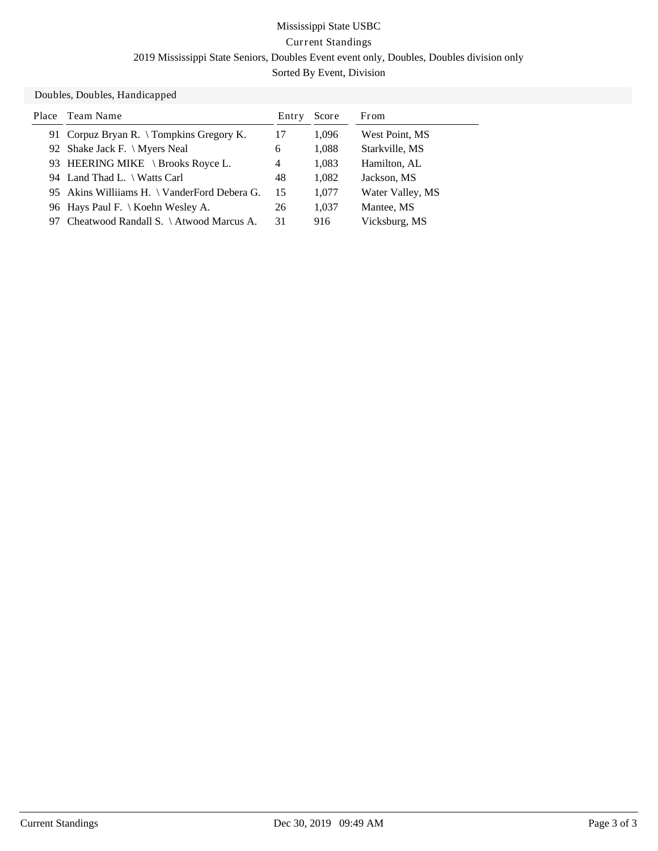#### Doubles, Doubles, Handicapped

| Place | Team Name                                   | Entry | Score | From             |
|-------|---------------------------------------------|-------|-------|------------------|
|       | 91 Corpuz Bryan R. \Tompkins Gregory K.     | 17    | 1,096 | West Point, MS   |
|       | 92 Shake Jack F. \ Myers Neal               | 6     | 1,088 | Starkville, MS   |
|       | 93 HEERING MIKE \ Brooks Royce L.           | 4     | 1,083 | Hamilton, AL     |
|       | 94 Land Thad L. \ Watts Carl                | 48    | 1,082 | Jackson, MS      |
|       | 95 Akins Williams H. \ VanderFord Debera G. | 15    | 1,077 | Water Valley, MS |
|       | 96 Hays Paul F.   Koehn Wesley A.           | 26    | 1,037 | Mantee, MS       |
|       | 97 Cheatwood Randall S. \Atwood Marcus A.   | 31    | 916   | Vicksburg, MS    |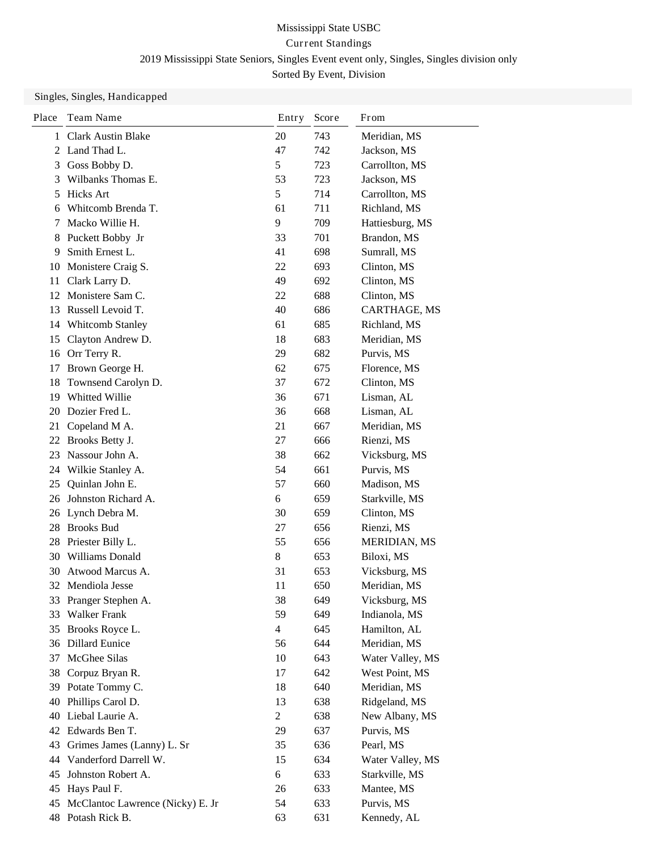| Place | Team Name                        | Entry                    | Score | From             |
|-------|----------------------------------|--------------------------|-------|------------------|
| 1     | <b>Clark Austin Blake</b>        | 20                       | 743   | Meridian, MS     |
|       | 2 Land Thad L.                   | 47                       | 742   | Jackson, MS      |
| 3     | Goss Bobby D.                    | 5                        | 723   | Carrollton, MS   |
| 3     | Wilbanks Thomas E.               | 53                       | 723   | Jackson, MS      |
| 5     | <b>Hicks Art</b>                 | 5                        | 714   | Carrollton, MS   |
| 6     | Whitcomb Brenda T.               | 61                       | 711   | Richland, MS     |
| 7     | Macko Willie H.                  | 9                        | 709   | Hattiesburg, MS  |
| 8     | Puckett Bobby Jr                 | 33                       | 701   | Brandon, MS      |
| 9     | Smith Ernest L.                  | 41                       | 698   | Sumrall, MS      |
| 10    | Monistere Craig S.               | 22                       | 693   | Clinton, MS      |
| 11    | Clark Larry D.                   | 49                       | 692   | Clinton, MS      |
|       | 12 Monistere Sam C.              | 22                       | 688   | Clinton, MS      |
| 13    | Russell Levoid T.                | 40                       | 686   | CARTHAGE, MS     |
| 14    | Whitcomb Stanley                 | 61                       | 685   | Richland, MS     |
| 15    | Clayton Andrew D.                | 18                       | 683   | Meridian, MS     |
| 16    | Orr Terry R.                     | 29                       | 682   | Purvis, MS       |
| 17    | Brown George H.                  | 62                       | 675   | Florence, MS     |
| 18    | Townsend Carolyn D.              | 37                       | 672   | Clinton, MS      |
| 19    | Whitted Willie                   | 36                       | 671   | Lisman, AL       |
| 20    | Dozier Fred L.                   | 36                       | 668   | Lisman, AL       |
| 21    | Copeland M A.                    | 21                       | 667   | Meridian, MS     |
| 22    | Brooks Betty J.                  | 27                       | 666   | Rienzi, MS       |
| 23    | Nassour John A.                  | 38                       | 662   | Vicksburg, MS    |
| 24    | Wilkie Stanley A.                | 54                       | 661   | Purvis, MS       |
| 25    | Quinlan John E.                  | 57                       | 660   | Madison, MS      |
| 26    | Johnston Richard A.              | 6                        | 659   | Starkville, MS   |
|       | 26 Lynch Debra M.                | 30                       | 659   | Clinton, MS      |
| 28    | <b>Brooks Bud</b>                | 27                       | 656   | Rienzi, MS       |
| 28    | Priester Billy L.                | 55                       | 656   | MERIDIAN, MS     |
| 30    | Williams Donald                  | 8                        | 653   | Biloxi, MS       |
| 30    | Atwood Marcus A.                 | 31                       | 653   | Vicksburg, MS    |
|       | 32 Mendiola Jesse                | 11                       | 650   | Meridian, MS     |
| 33    | Pranger Stephen A.               | 38                       | 649   | Vicksburg, MS    |
| 33    | Walker Frank                     | 59                       | 649   | Indianola, MS    |
| 35    | Brooks Royce L.                  | $\overline{\mathcal{L}}$ | 645   | Hamilton, AL     |
|       | 36 Dillard Eunice                | 56                       | 644   | Meridian, MS     |
| 37    | McGhee Silas                     | 10                       | 643   | Water Valley, MS |
| 38    | Corpuz Bryan R.                  | 17                       | 642   | West Point, MS   |
|       | 39 Potate Tommy C.               | 18                       | 640   | Meridian, MS     |
| 40    | Phillips Carol D.                | 13                       | 638   | Ridgeland, MS    |
| 40    | Liebal Laurie A.                 | $\overline{2}$           | 638   | New Albany, MS   |
|       | 42 Edwards Ben T.                | 29                       | 637   | Purvis, MS       |
| 43    | Grimes James (Lanny) L. Sr       | 35                       | 636   | Pearl, MS        |
| 44    | Vanderford Darrell W.            | 15                       | 634   | Water Valley, MS |
| 45    | Johnston Robert A.               | 6                        | 633   | Starkville, MS   |
| 45    | Hays Paul F.                     | 26                       | 633   | Mantee, MS       |
| 45    | McClantoc Lawrence (Nicky) E. Jr | 54                       | 633   | Purvis, MS       |
|       | 48 Potash Rick B.                | 63                       | 631   | Kennedy, AL      |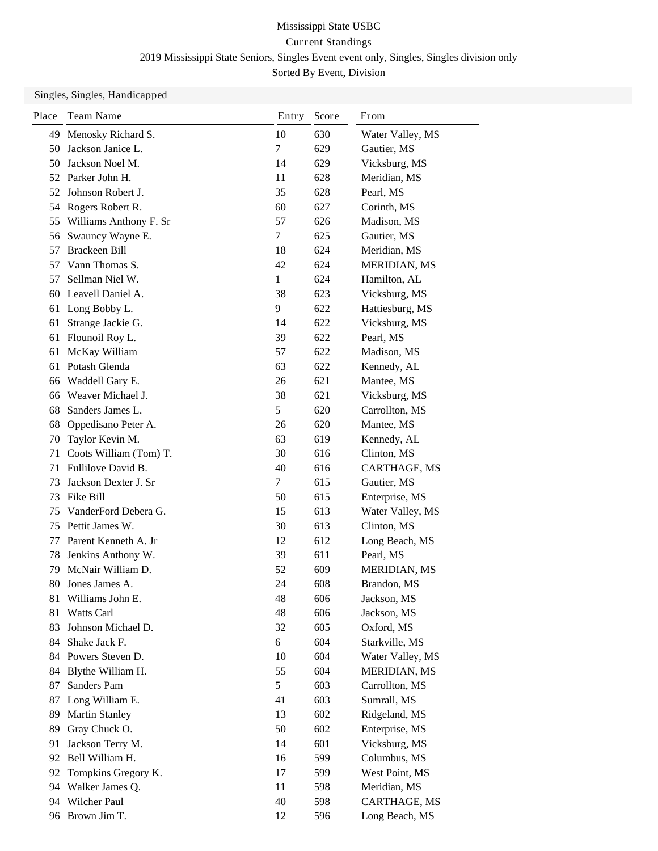| Place | Team Name              | Entry | Score | From                |
|-------|------------------------|-------|-------|---------------------|
| 49    | Menosky Richard S.     | 10    | 630   | Water Valley, MS    |
| 50    | Jackson Janice L.      | 7     | 629   | Gautier, MS         |
| 50    | Jackson Noel M.        | 14    | 629   | Vicksburg, MS       |
|       | 52 Parker John H.      | 11    | 628   | Meridian, MS        |
| 52    | Johnson Robert J.      | 35    | 628   | Pearl, MS           |
|       | 54 Rogers Robert R.    | 60    | 627   | Corinth, MS         |
| 55    | Williams Anthony F. Sr | 57    | 626   | Madison, MS         |
| 56    | Swauncy Wayne E.       | 7     | 625   | Gautier, MS         |
| 57    | Brackeen Bill          | 18    | 624   | Meridian, MS        |
| 57    | Vann Thomas S.         | 42    | 624   | MERIDIAN, MS        |
| 57    | Sellman Niel W.        | 1     | 624   | Hamilton, AL        |
| 60    | Leavell Daniel A.      | 38    | 623   | Vicksburg, MS       |
| 61    | Long Bobby L.          | 9     | 622   | Hattiesburg, MS     |
| 61    | Strange Jackie G.      | 14    | 622   | Vicksburg, MS       |
| 61    | Flounoil Roy L.        | 39    | 622   | Pearl, MS           |
| 61    | McKay William          | 57    | 622   | Madison, MS         |
| 61    | Potash Glenda          | 63    | 622   | Kennedy, AL         |
| 66    | Waddell Gary E.        | 26    | 621   | Mantee, MS          |
| 66    | Weaver Michael J.      | 38    | 621   | Vicksburg, MS       |
| 68    | Sanders James L.       | 5     | 620   | Carrollton, MS      |
| 68    | Oppedisano Peter A.    | 26    | 620   | Mantee, MS          |
| 70    | Taylor Kevin M.        | 63    | 619   | Kennedy, AL         |
| 71    | Coots William (Tom) T. | 30    | 616   | Clinton, MS         |
| 71    | Fullilove David B.     | 40    | 616   | CARTHAGE, MS        |
| 73    | Jackson Dexter J. Sr   | 7     | 615   | Gautier, MS         |
| 73    | Fike Bill              | 50    | 615   | Enterprise, MS      |
| 75    | VanderFord Debera G.   | 15    | 613   | Water Valley, MS    |
| 75    | Pettit James W.        | 30    | 613   | Clinton, MS         |
| 77    | Parent Kenneth A. Jr   | 12    | 612   | Long Beach, MS      |
| 78    | Jenkins Anthony W.     | 39    | 611   | Pearl, MS           |
| 79    | McNair William D.      | 52    | 609   | MERIDIAN, MS        |
| 80    | Jones James A.         | 24    | 608   | Brandon, MS         |
| 81    | Williams John E.       | 48    | 606   | Jackson, MS         |
| 81    | Watts Carl             | 48    | 606   | Jackson, MS         |
| 83    | Johnson Michael D.     | 32    | 605   | Oxford, MS          |
|       | 84 Shake Jack F.       | 6     | 604   | Starkville, MS      |
|       | 84 Powers Steven D.    | 10    | 604   | Water Valley, MS    |
| 84    | Blythe William H.      | 55    | 604   | <b>MERIDIAN, MS</b> |
| 87    | Sanders Pam            | 5     | 603   | Carrollton, MS      |
| 87    | Long William E.        | 41    | 603   | Sumrall, MS         |
| 89    | <b>Martin Stanley</b>  | 13    | 602   | Ridgeland, MS       |
| 89    | Gray Chuck O.          | 50    | 602   | Enterprise, MS      |
| 91    | Jackson Terry M.       | 14    | 601   | Vicksburg, MS       |
|       | 92 Bell William H.     | 16    | 599   | Columbus, MS        |
| 92    | Tompkins Gregory K.    | 17    | 599   | West Point, MS      |
| 94    | Walker James Q.        | 11    | 598   | Meridian, MS        |
|       | 94 Wilcher Paul        | 40    | 598   | CARTHAGE, MS        |
|       | 96 Brown Jim T.        | 12    | 596   | Long Beach, MS      |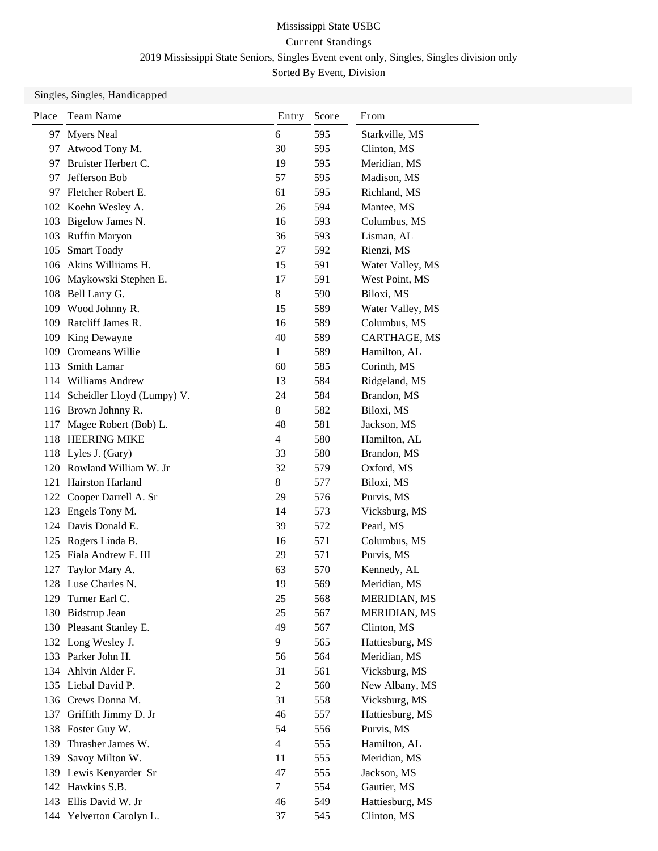| <b>Myers Neal</b><br>6<br>595<br>Starkville, MS<br>97<br>30<br>Clinton, MS<br>Atwood Tony M.<br>595<br>97.<br>Bruister Herbert C.<br>Meridian, MS<br>19<br>595<br>97<br>Jefferson Bob<br>57<br>595<br>Madison, MS<br>97<br>Fletcher Robert E.<br>61<br>595<br>Richland, MS<br>97.<br>102 Koehn Wesley A.<br>26<br>594<br>Mantee, MS<br>103 Bigelow James N.<br>Columbus, MS<br>16<br>593<br>103 Ruffin Maryon<br>36<br>593<br>Lisman, AL<br><b>Smart Toady</b><br>27<br>592<br>Rienzi, MS<br>105<br>106 Akins Williiams H.<br>591<br>15<br>Water Valley, MS<br>106 Maykowski Stephen E.<br>17<br>591<br>West Point, MS<br>108 Bell Larry G.<br>$\,8\,$<br>590<br>Biloxi, MS<br>Wood Johnny R.<br>109<br>15<br>589<br>Water Valley, MS<br>109 Ratcliff James R.<br>16<br>589<br>Columbus, MS<br>40<br>109 King Dewayne<br>CARTHAGE, MS<br>589 |  |
|----------------------------------------------------------------------------------------------------------------------------------------------------------------------------------------------------------------------------------------------------------------------------------------------------------------------------------------------------------------------------------------------------------------------------------------------------------------------------------------------------------------------------------------------------------------------------------------------------------------------------------------------------------------------------------------------------------------------------------------------------------------------------------------------------------------------------------------------|--|
|                                                                                                                                                                                                                                                                                                                                                                                                                                                                                                                                                                                                                                                                                                                                                                                                                                              |  |
|                                                                                                                                                                                                                                                                                                                                                                                                                                                                                                                                                                                                                                                                                                                                                                                                                                              |  |
|                                                                                                                                                                                                                                                                                                                                                                                                                                                                                                                                                                                                                                                                                                                                                                                                                                              |  |
|                                                                                                                                                                                                                                                                                                                                                                                                                                                                                                                                                                                                                                                                                                                                                                                                                                              |  |
|                                                                                                                                                                                                                                                                                                                                                                                                                                                                                                                                                                                                                                                                                                                                                                                                                                              |  |
|                                                                                                                                                                                                                                                                                                                                                                                                                                                                                                                                                                                                                                                                                                                                                                                                                                              |  |
|                                                                                                                                                                                                                                                                                                                                                                                                                                                                                                                                                                                                                                                                                                                                                                                                                                              |  |
|                                                                                                                                                                                                                                                                                                                                                                                                                                                                                                                                                                                                                                                                                                                                                                                                                                              |  |
|                                                                                                                                                                                                                                                                                                                                                                                                                                                                                                                                                                                                                                                                                                                                                                                                                                              |  |
|                                                                                                                                                                                                                                                                                                                                                                                                                                                                                                                                                                                                                                                                                                                                                                                                                                              |  |
|                                                                                                                                                                                                                                                                                                                                                                                                                                                                                                                                                                                                                                                                                                                                                                                                                                              |  |
|                                                                                                                                                                                                                                                                                                                                                                                                                                                                                                                                                                                                                                                                                                                                                                                                                                              |  |
|                                                                                                                                                                                                                                                                                                                                                                                                                                                                                                                                                                                                                                                                                                                                                                                                                                              |  |
|                                                                                                                                                                                                                                                                                                                                                                                                                                                                                                                                                                                                                                                                                                                                                                                                                                              |  |
|                                                                                                                                                                                                                                                                                                                                                                                                                                                                                                                                                                                                                                                                                                                                                                                                                                              |  |
| 109<br>Cromeans Willie<br>1<br>589<br>Hamilton, AL                                                                                                                                                                                                                                                                                                                                                                                                                                                                                                                                                                                                                                                                                                                                                                                           |  |
| Smith Lamar<br>113<br>60<br>585<br>Corinth, MS                                                                                                                                                                                                                                                                                                                                                                                                                                                                                                                                                                                                                                                                                                                                                                                               |  |
| 114 Williams Andrew<br>13<br>584<br>Ridgeland, MS                                                                                                                                                                                                                                                                                                                                                                                                                                                                                                                                                                                                                                                                                                                                                                                            |  |
| Scheidler Lloyd (Lumpy) V.<br>24<br>584<br>Brandon, MS<br>114                                                                                                                                                                                                                                                                                                                                                                                                                                                                                                                                                                                                                                                                                                                                                                                |  |
| 116 Brown Johnny R.<br>Biloxi, MS<br>8<br>582                                                                                                                                                                                                                                                                                                                                                                                                                                                                                                                                                                                                                                                                                                                                                                                                |  |
| Magee Robert (Bob) L.<br>48<br>581<br>Jackson, MS<br>117                                                                                                                                                                                                                                                                                                                                                                                                                                                                                                                                                                                                                                                                                                                                                                                     |  |
| <b>HEERING MIKE</b><br>$\overline{4}$<br>Hamilton, AL<br>118<br>580                                                                                                                                                                                                                                                                                                                                                                                                                                                                                                                                                                                                                                                                                                                                                                          |  |
| 118 Lyles J. (Gary)<br>33<br>580<br>Brandon, MS                                                                                                                                                                                                                                                                                                                                                                                                                                                                                                                                                                                                                                                                                                                                                                                              |  |
| 120 Rowland William W. Jr<br>32<br>579<br>Oxford, MS                                                                                                                                                                                                                                                                                                                                                                                                                                                                                                                                                                                                                                                                                                                                                                                         |  |
| Hairston Harland<br>8<br>577<br>Biloxi, MS<br>121                                                                                                                                                                                                                                                                                                                                                                                                                                                                                                                                                                                                                                                                                                                                                                                            |  |
| Cooper Darrell A. Sr<br>29<br>576<br>Purvis, MS<br>122                                                                                                                                                                                                                                                                                                                                                                                                                                                                                                                                                                                                                                                                                                                                                                                       |  |
| 123 Engels Tony M.<br>14<br>Vicksburg, MS<br>573                                                                                                                                                                                                                                                                                                                                                                                                                                                                                                                                                                                                                                                                                                                                                                                             |  |
| 124 Davis Donald E.<br>39<br>572<br>Pearl, MS                                                                                                                                                                                                                                                                                                                                                                                                                                                                                                                                                                                                                                                                                                                                                                                                |  |
| Rogers Linda B.<br>571<br>Columbus, MS<br>125<br>16                                                                                                                                                                                                                                                                                                                                                                                                                                                                                                                                                                                                                                                                                                                                                                                          |  |
| 29<br>Fiala Andrew F. III<br>571<br>Purvis, MS<br>125                                                                                                                                                                                                                                                                                                                                                                                                                                                                                                                                                                                                                                                                                                                                                                                        |  |
| Taylor Mary A.<br>63<br>Kennedy, AL<br>127<br>570                                                                                                                                                                                                                                                                                                                                                                                                                                                                                                                                                                                                                                                                                                                                                                                            |  |
| 19<br>128 Luse Charles N.<br>569<br>Meridian, MS                                                                                                                                                                                                                                                                                                                                                                                                                                                                                                                                                                                                                                                                                                                                                                                             |  |
| 568<br>129 Turner Earl C.<br>25<br>MERIDIAN, MS                                                                                                                                                                                                                                                                                                                                                                                                                                                                                                                                                                                                                                                                                                                                                                                              |  |
| 130 Bidstrup Jean<br>25<br>567<br><b>MERIDIAN, MS</b>                                                                                                                                                                                                                                                                                                                                                                                                                                                                                                                                                                                                                                                                                                                                                                                        |  |
| 49<br>130 Pleasant Stanley E.<br>567<br>Clinton, MS                                                                                                                                                                                                                                                                                                                                                                                                                                                                                                                                                                                                                                                                                                                                                                                          |  |
| 132 Long Wesley J.<br>9<br>Hattiesburg, MS<br>565                                                                                                                                                                                                                                                                                                                                                                                                                                                                                                                                                                                                                                                                                                                                                                                            |  |
| 133 Parker John H.<br>Meridian, MS<br>56<br>564                                                                                                                                                                                                                                                                                                                                                                                                                                                                                                                                                                                                                                                                                                                                                                                              |  |
| 134 Ahlvin Alder F.<br>31<br>561<br>Vicksburg, MS                                                                                                                                                                                                                                                                                                                                                                                                                                                                                                                                                                                                                                                                                                                                                                                            |  |
| 135 Liebal David P.<br>$\overline{2}$<br>560<br>New Albany, MS                                                                                                                                                                                                                                                                                                                                                                                                                                                                                                                                                                                                                                                                                                                                                                               |  |
| 136 Crews Donna M.<br>31<br>Vicksburg, MS<br>558                                                                                                                                                                                                                                                                                                                                                                                                                                                                                                                                                                                                                                                                                                                                                                                             |  |
| Griffith Jimmy D. Jr<br>46<br>557<br>Hattiesburg, MS<br>137                                                                                                                                                                                                                                                                                                                                                                                                                                                                                                                                                                                                                                                                                                                                                                                  |  |
| 138 Foster Guy W.<br>54<br>Purvis, MS<br>556                                                                                                                                                                                                                                                                                                                                                                                                                                                                                                                                                                                                                                                                                                                                                                                                 |  |
| Thrasher James W.<br>$\overline{4}$<br>139<br>555<br>Hamilton, AL                                                                                                                                                                                                                                                                                                                                                                                                                                                                                                                                                                                                                                                                                                                                                                            |  |
| Savoy Milton W.<br>Meridian, MS<br>139<br>11<br>555                                                                                                                                                                                                                                                                                                                                                                                                                                                                                                                                                                                                                                                                                                                                                                                          |  |
| Jackson, MS<br>139 Lewis Kenyarder Sr<br>47<br>555                                                                                                                                                                                                                                                                                                                                                                                                                                                                                                                                                                                                                                                                                                                                                                                           |  |
| 142 Hawkins S.B.<br>$\tau$<br>554<br>Gautier, MS                                                                                                                                                                                                                                                                                                                                                                                                                                                                                                                                                                                                                                                                                                                                                                                             |  |
| 143 Ellis David W. Jr<br>46<br>549<br>Hattiesburg, MS                                                                                                                                                                                                                                                                                                                                                                                                                                                                                                                                                                                                                                                                                                                                                                                        |  |
| 144 Yelverton Carolyn L.<br>Clinton, MS<br>37<br>545                                                                                                                                                                                                                                                                                                                                                                                                                                                                                                                                                                                                                                                                                                                                                                                         |  |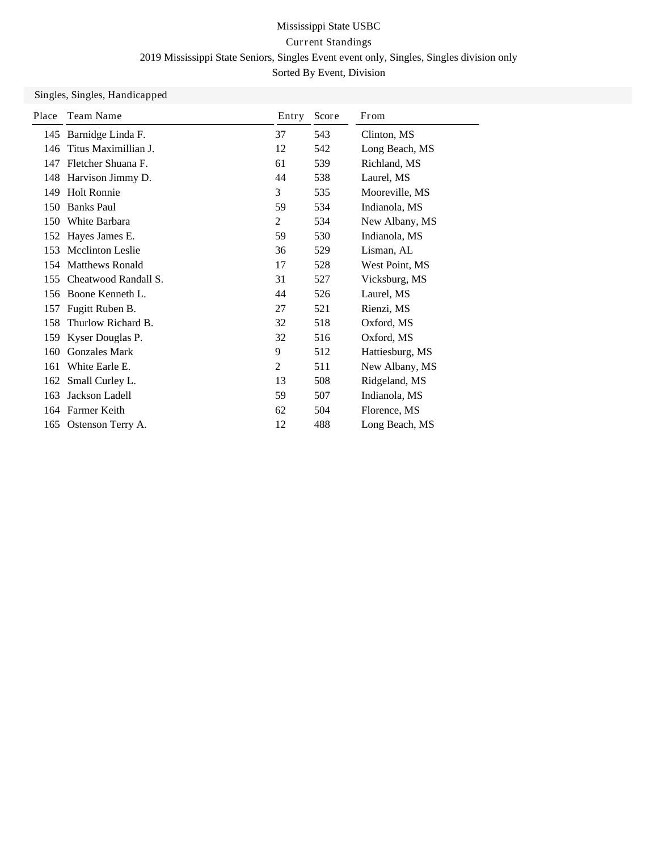| Place | Team Name               | Entry | Score | From            |
|-------|-------------------------|-------|-------|-----------------|
| 145   | Barnidge Linda F.       | 37    | 543   | Clinton, MS     |
| 146   | Titus Maximillian J.    | 12    | 542   | Long Beach, MS  |
| 147   | Fletcher Shuana F.      | 61    | 539   | Richland, MS    |
| 148   | Harvison Jimmy D.       | 44    | 538   | Laurel, MS      |
| 149   | <b>Holt Ronnie</b>      | 3     | 535   | Mooreville, MS  |
| 150   | <b>Banks Paul</b>       | 59    | 534   | Indianola, MS   |
| 150   | White Barbara           | 2     | 534   | New Albany, MS  |
|       | 152 Hayes James E.      | 59    | 530   | Indianola, MS   |
| 153   | <b>Mcclinton Leslie</b> | 36    | 529   | Lisman, AL      |
| 154   | <b>Matthews Ronald</b>  | 17    | 528   | West Point, MS  |
| 155   | Cheatwood Randall S.    | 31    | 527   | Vicksburg, MS   |
| 156   | Boone Kenneth L.        | 44    | 526   | Laurel, MS      |
| 157   | Fugitt Ruben B.         | 27    | 521   | Rienzi, MS      |
| 158   | Thurlow Richard B.      | 32    | 518   | Oxford, MS      |
| 159   | Kyser Douglas P.        | 32    | 516   | Oxford, MS      |
| 160   | <b>Gonzales Mark</b>    | 9     | 512   | Hattiesburg, MS |
| 161   | White Earle E.          | 2     | 511   | New Albany, MS  |
| 162   | Small Curley L.         | 13    | 508   | Ridgeland, MS   |
| 163   | Jackson Ladell          | 59    | 507   | Indianola, MS   |
|       | 164 Farmer Keith        | 62    | 504   | Florence, MS    |
| 165   | Ostenson Terry A.       | 12    | 488   | Long Beach, MS  |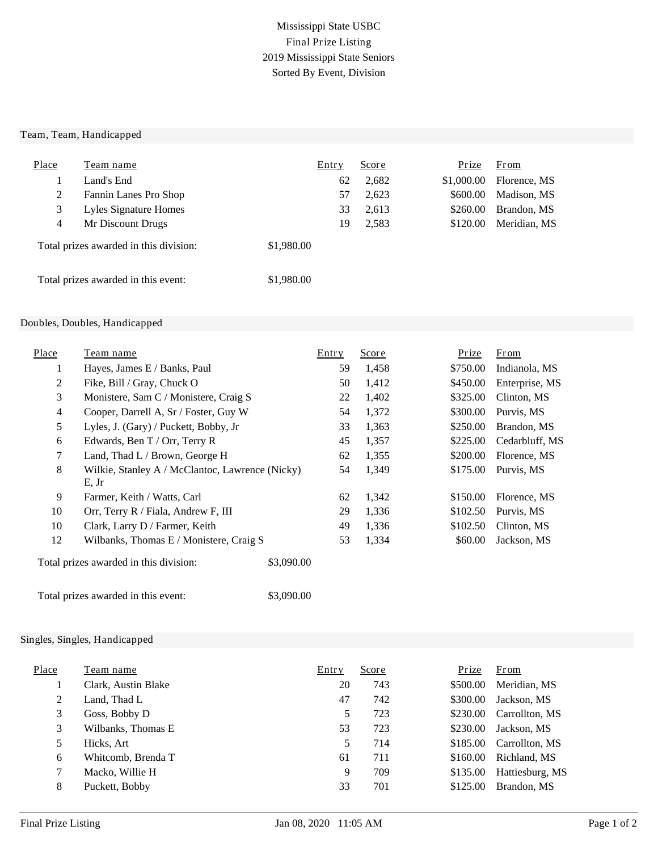### Mississippi State USBC Final Prize Listing 2019 Mississippi State Seniors Sorted By Event, Division

#### Team, Team, Handicapped

| Place          | Team name                              | Entry      | <u>Score</u> | Prize      | From         |
|----------------|----------------------------------------|------------|--------------|------------|--------------|
|                | Land's End                             | 62         | 2,682        | \$1,000.00 | Florence, MS |
| $\overline{2}$ | Fannin Lanes Pro Shop                  | 57         | 2,623        | \$600.00   | Madison, MS  |
| 3              | Lyles Signature Homes                  | 33         | 2,613        | \$260.00   | Brandon, MS  |
| 4              | Mr Discount Drugs                      | 19         | 2,583        | \$120.00   | Meridian, MS |
|                | Total prizes awarded in this division: | \$1,980.00 |              |            |              |
|                | Total prizes awarded in this event:    | \$1,980.00 |              |            |              |

#### Doubles, Doubles, Handicapped

| Place | Team name                                                | Entry | Score | Prize    | From           |
|-------|----------------------------------------------------------|-------|-------|----------|----------------|
| 1     | Hayes, James E / Banks, Paul                             | 59    | 1,458 | \$750.00 | Indianola, MS  |
| 2     | Fike, Bill / Gray, Chuck O                               | 50    | 1,412 | \$450.00 | Enterprise, MS |
| 3     | Monistere, Sam C / Monistere, Craig S                    | 22    | 1,402 | \$325.00 | Clinton, MS    |
| 4     | Cooper, Darrell A, Sr / Foster, Guy W                    | 54    | 1,372 | \$300.00 | Purvis, MS     |
| 5     | Lyles, J. (Gary) / Puckett, Bobby, Jr                    | 33    | 1,363 | \$250.00 | Brandon, MS    |
| 6     | Edwards, Ben T / Orr, Terry R                            | 45    | 1,357 | \$225.00 | Cedarbluff, MS |
| 7     | Land, Thad L / Brown, George H                           | 62    | 1,355 | \$200.00 | Florence, MS   |
| 8     | Wilkie, Stanley A / McClantoc, Lawrence (Nicky)<br>E, Jr | 54    | 1,349 | \$175.00 | Purvis, MS     |
| 9     | Farmer, Keith / Watts, Carl                              | 62    | 1,342 | \$150.00 | Florence, MS   |
| 10    | Orr, Terry R / Fiala, Andrew F, III                      | 29    | 1,336 | \$102.50 | Purvis, MS     |
| 10    | Clark, Larry D / Farmer, Keith                           | 49    | 1,336 | \$102.50 | Clinton, MS    |
| 12    | Wilbanks, Thomas E / Monistere, Craig S                  | 53    | 1,334 | \$60.00  | Jackson, MS    |

Total prizes awarded in this division: \$3,090.00

Total prizes awarded in this event: \$3,090.00

| Place | Team name           | Entry | <b>Score</b> | Prize    | <b>From</b>     |
|-------|---------------------|-------|--------------|----------|-----------------|
|       | Clark, Austin Blake | 20    | 743          | \$500.00 | Meridian, MS    |
| 2     | Land, Thad L        | 47    | 742          | \$300.00 | Jackson, MS     |
| 3     | Goss, Bobby D       | 5     | 723          | \$230.00 | Carrollton, MS  |
| 3     | Wilbanks, Thomas E  | 53    | 723          | \$230.00 | Jackson, MS     |
| 5     | Hicks, Art          | 5     | 714          | \$185.00 | Carrollton, MS  |
| 6     | Whitcomb, Brenda T  | 61    | 711          | \$160.00 | Richland, MS    |
| 7     | Macko, Willie H     | 9     | 709          | \$135.00 | Hattiesburg, MS |
| 8     | Puckett, Bobby      | 33    | 701          | \$125.00 | Brandon, MS     |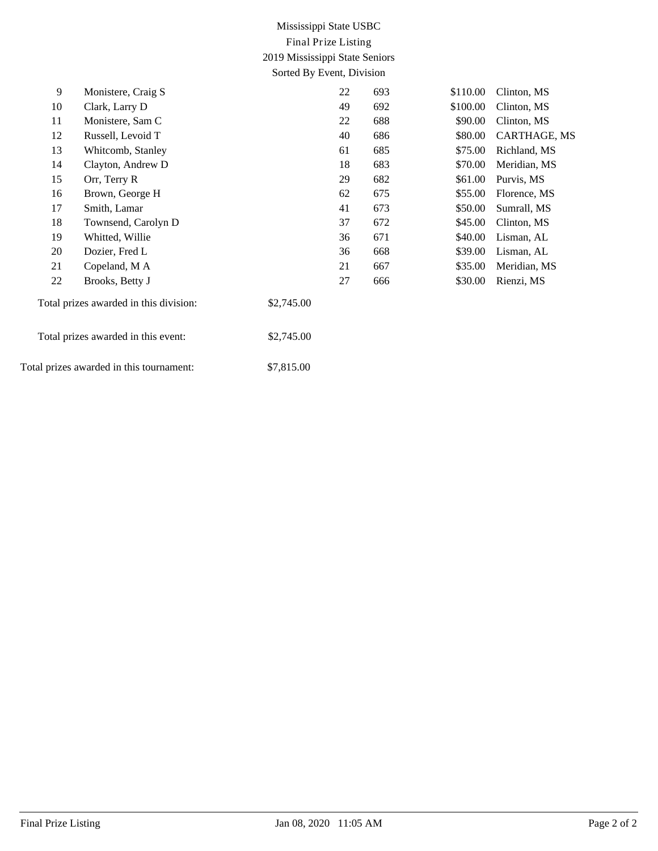## Mississippi State USBC Final Prize Listing 2019 Mississippi State Seniors Sorted By Event, Division

| 9  | Monistere, Craig S                       |            | 22 | 693 | \$110.00 | Clinton, MS  |
|----|------------------------------------------|------------|----|-----|----------|--------------|
| 10 | Clark, Larry D                           |            | 49 | 692 | \$100.00 | Clinton, MS  |
| 11 | Monistere, Sam C                         |            | 22 | 688 | \$90.00  | Clinton, MS  |
| 12 | Russell, Levoid T                        |            | 40 | 686 | \$80.00  | CARTHAGE, MS |
| 13 | Whitcomb, Stanley                        |            | 61 | 685 | \$75.00  | Richland, MS |
| 14 | Clayton, Andrew D                        |            | 18 | 683 | \$70.00  | Meridian, MS |
| 15 | Orr, Terry R                             |            | 29 | 682 | \$61.00  | Purvis, MS   |
| 16 | Brown, George H                          |            | 62 | 675 | \$55.00  | Florence, MS |
| 17 | Smith, Lamar                             |            | 41 | 673 | \$50.00  | Sumrall, MS  |
| 18 | Townsend, Carolyn D                      |            | 37 | 672 | \$45.00  | Clinton, MS  |
| 19 | Whitted, Willie                          |            | 36 | 671 | \$40.00  | Lisman, AL   |
| 20 | Dozier, Fred L                           |            | 36 | 668 | \$39.00  | Lisman, AL   |
| 21 | Copeland, MA                             |            | 21 | 667 | \$35.00  | Meridian, MS |
| 22 | Brooks, Betty J                          |            | 27 | 666 | \$30.00  | Rienzi, MS   |
|    | Total prizes awarded in this division:   | \$2,745.00 |    |     |          |              |
|    | Total prizes awarded in this event:      | \$2,745.00 |    |     |          |              |
|    | Total prizes awarded in this tournament: | \$7,815.00 |    |     |          |              |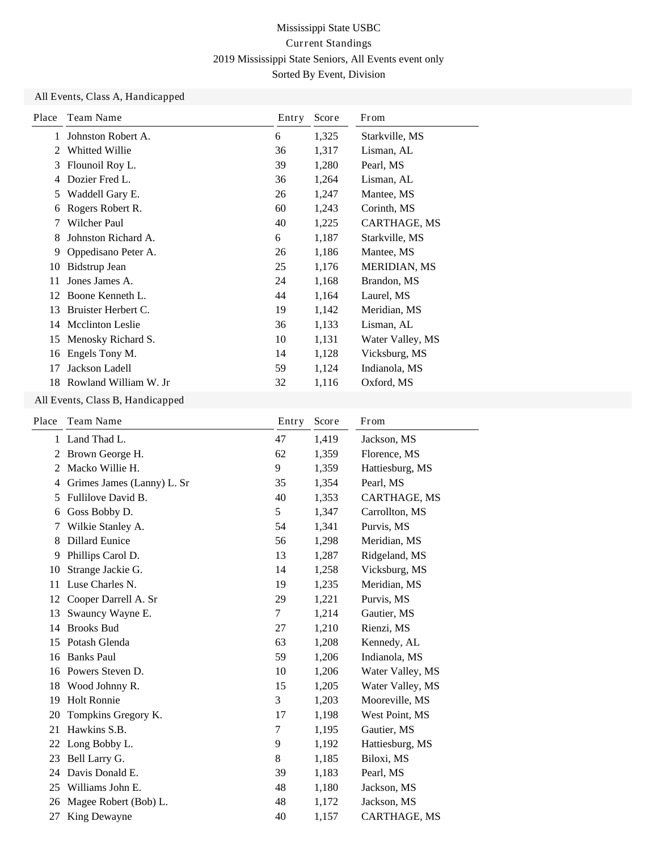### All Events, Class A, Handicapped

| Place | Team Name               | Entry | Score | From                |
|-------|-------------------------|-------|-------|---------------------|
| 1     | Johnston Robert A.      | 6     | 1,325 | Starkville, MS      |
| 2     | <b>Whitted Willie</b>   | 36    | 1,317 | Lisman, AL          |
| 3     | Flounoil Roy L.         | 39    | 1,280 | Pearl, MS           |
|       | Dozier Fred L.          | 36    | 1,264 | Lisman, AL          |
| 5     | Waddell Gary E.         | 26    | 1,247 | Mantee, MS          |
| 6     | Rogers Robert R.        | 60    | 1,243 | Corinth, MS         |
| 7     | Wilcher Paul            | 40    | 1,225 | CARTHAGE, MS        |
| 8     | Johnston Richard A.     | 6     | 1,187 | Starkville, MS      |
| 9     | Oppedisano Peter A.     | 26    | 1,186 | Mantee, MS          |
| 10    | Bidstrup Jean           | 25    | 1,176 | <b>MERIDIAN, MS</b> |
| 11    | Jones James A.          | 24    | 1,168 | Brandon, MS         |
| 12    | Boone Kenneth L.        | 44    | 1,164 | Laurel, MS          |
| 13    | Bruister Herbert C.     | 19    | 1,142 | Meridian, MS        |
| 14    | <b>Mcclinton Leslie</b> | 36    | 1,133 | Lisman, AL          |
| 15    | Menosky Richard S.      | 10    | 1,131 | Water Valley, MS    |
| 16    | Engels Tony M.          | 14    | 1,128 | Vicksburg, MS       |
| 17    | Jackson Ladell          | 59    | 1,124 | Indianola, MS       |
| 18    | Rowland William W. Jr   | 32    | 1,116 | Oxford, MS          |

#### All Events, Class B, Handicapped

| Team Name                  | Entry | Score | From             |
|----------------------------|-------|-------|------------------|
| Land Thad L.               | 47    | 1,419 | Jackson, MS      |
| Brown George H.            | 62    | 1,359 | Florence, MS     |
| Macko Willie H.            | 9     | 1,359 | Hattiesburg, MS  |
| Grimes James (Lanny) L. Sr | 35    | 1,354 | Pearl, MS        |
| Fullilove David B.         | 40    | 1,353 | CARTHAGE, MS     |
| Goss Bobby D.              | 5     | 1,347 | Carrollton, MS   |
| Wilkie Stanley A.          | 54    | 1,341 | Purvis, MS       |
| <b>Dillard Eunice</b>      | 56    | 1,298 | Meridian, MS     |
| Phillips Carol D.          | 13    | 1,287 | Ridgeland, MS    |
| Strange Jackie G.          | 14    | 1,258 | Vicksburg, MS    |
| Luse Charles N.            | 19    | 1,235 | Meridian, MS     |
| Cooper Darrell A. Sr       | 29    | 1,221 | Purvis, MS       |
| Swauncy Wayne E.           | 7     | 1,214 | Gautier, MS      |
| <b>Brooks Bud</b>          | 27    | 1,210 | Rienzi, MS       |
| Potash Glenda              | 63    | 1,208 | Kennedy, AL      |
| <b>Banks Paul</b>          | 59    | 1,206 | Indianola, MS    |
| Powers Steven D.           | 10    | 1,206 | Water Valley, MS |
| Wood Johnny R.             | 15    | 1,205 | Water Valley, MS |
| <b>Holt Ronnie</b>         | 3     | 1,203 | Mooreville, MS   |
| Tompkins Gregory K.        | 17    | 1,198 | West Point, MS   |
| Hawkins S.B.               | 7     | 1,195 | Gautier, MS      |
| Long Bobby L.              | 9     | 1,192 | Hattiesburg, MS  |
| Bell Larry G.              | 8     | 1,185 | Biloxi, MS       |
| Davis Donald E.            | 39    | 1,183 | Pearl, MS        |
| Williams John E.           | 48    | 1,180 | Jackson, MS      |
| Magee Robert (Bob) L.      | 48    | 1,172 | Jackson, MS      |
| King Dewayne               | 40    | 1,157 | CARTHAGE, MS     |
|                            |       |       |                  |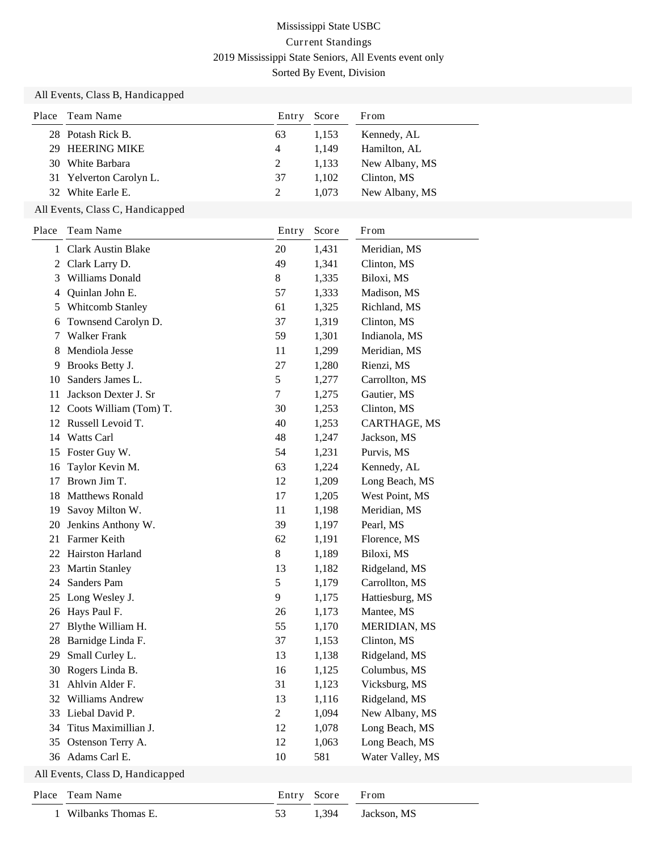#### All Events, Class B, Handicapped

| Place | Team Name               | Entry | Score | From           |
|-------|-------------------------|-------|-------|----------------|
|       | 28 Potash Rick B.       | 63    | 1,153 | Kennedy, AL    |
|       | 29 HEERING MIKE         | 4     | 1.149 | Hamilton, AL   |
|       | 30 White Barbara        | 2     | 1.133 | New Albany, MS |
|       | 31 Yelverton Carolyn L. | 37    | 1.102 | Clinton, MS    |
|       | 32 White Earle E.       |       | 1.073 | New Albany, MS |

### All Events, Class C, Handicapped

| Place                            | Team Name              | Entry          | Score | From                |
|----------------------------------|------------------------|----------------|-------|---------------------|
| 1                                | Clark Austin Blake     | 20             | 1,431 | Meridian, MS        |
| 2                                | Clark Larry D.         | 49             | 1,341 | Clinton, MS         |
| 3                                | Williams Donald        | 8              | 1,335 | Biloxi, MS          |
| 4                                | Quinlan John E.        | 57             | 1,333 | Madison, MS         |
| 5                                | Whitcomb Stanley       | 61             | 1,325 | Richland, MS        |
| 6                                | Townsend Carolyn D.    | 37             | 1,319 | Clinton, MS         |
| 7                                | <b>Walker Frank</b>    | 59             | 1,301 | Indianola, MS       |
| 8                                | Mendiola Jesse         | 11             | 1,299 | Meridian, MS        |
| 9                                | Brooks Betty J.        | 27             | 1,280 | Rienzi, MS          |
| 10                               | Sanders James L.       | 5              | 1,277 | Carrollton, MS      |
| 11                               | Jackson Dexter J. Sr   | 7              | 1,275 | Gautier, MS         |
| 12                               | Coots William (Tom) T. | 30             | 1,253 | Clinton, MS         |
| 12                               | Russell Levoid T.      | 40             | 1,253 | CARTHAGE, MS        |
| 14                               | Watts Carl             | 48             | 1,247 | Jackson, MS         |
| 15                               | Foster Guy W.          | 54             | 1,231 | Purvis, MS          |
| 16                               | Taylor Kevin M.        | 63             | 1,224 | Kennedy, AL         |
| 17                               | Brown Jim T.           | 12             | 1,209 | Long Beach, MS      |
| 18                               | Matthews Ronald        | 17             | 1,205 | West Point, MS      |
| 19                               | Savoy Milton W.        | 11             | 1,198 | Meridian, MS        |
| 20                               | Jenkins Anthony W.     | 39             | 1,197 | Pearl, MS           |
| 21                               | Farmer Keith           | 62             | 1,191 | Florence, MS        |
| 22                               | Hairston Harland       | 8              | 1,189 | Biloxi, MS          |
| 23                               | <b>Martin Stanley</b>  | 13             | 1,182 | Ridgeland, MS       |
| 24                               | Sanders Pam            | 5              | 1,179 | Carrollton, MS      |
| 25                               | Long Wesley J.         | 9              | 1,175 | Hattiesburg, MS     |
| 26                               | Hays Paul F.           | 26             | 1,173 | Mantee, MS          |
| 27                               | Blythe William H.      | 55             | 1,170 | <b>MERIDIAN, MS</b> |
| 28                               | Barnidge Linda F.      | 37             | 1,153 | Clinton, MS         |
| 29                               | Small Curley L.        | 13             | 1,138 | Ridgeland, MS       |
| 30                               | Rogers Linda B.        | 16             | 1,125 | Columbus, MS        |
| 31                               | Ahlvin Alder F.        | 31             | 1,123 | Vicksburg, MS       |
| 32                               | Williams Andrew        | 13             | 1,116 | Ridgeland, MS       |
| 33                               | Liebal David P.        | $\overline{c}$ | 1,094 | New Albany, MS      |
| 34                               | Titus Maximillian J.   | 12             | 1,078 | Long Beach, MS      |
| 35                               | Ostenson Terry A.      | 12             | 1,063 | Long Beach, MS      |
|                                  | 36 Adams Carl E.       | 10             | 581   | Water Valley, MS    |
| All Events, Class D, Handicapped |                        |                |       |                     |
| Place                            | Team Name              | Entry          | Score | From                |
| 1                                | Wilbanks Thomas E.     | 53             | 1,394 | Jackson, MS         |
|                                  |                        |                |       |                     |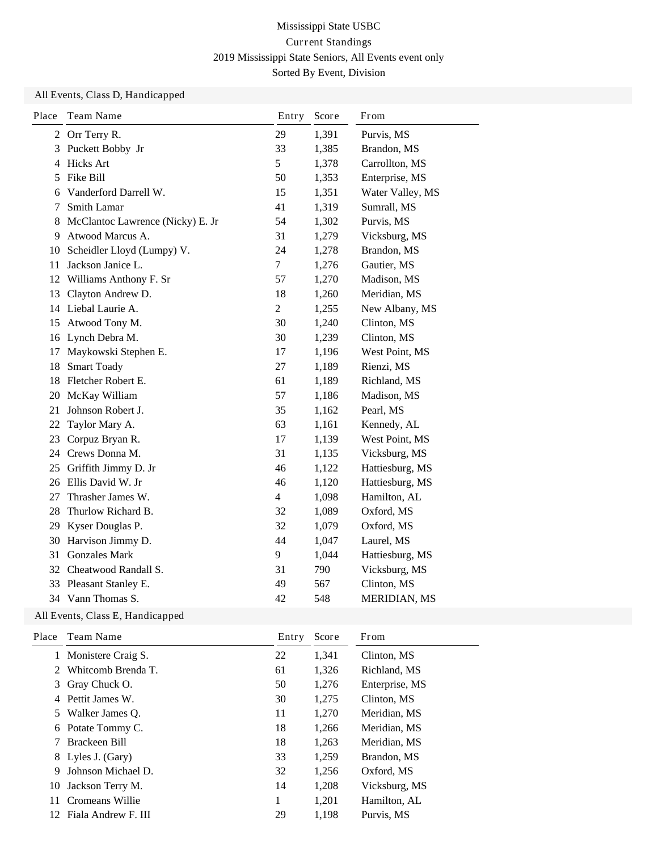### All Events, Class D, Handicapped

| Place | Team Name                        | Entry          | Score | From                |
|-------|----------------------------------|----------------|-------|---------------------|
| 2     | Orr Terry R.                     | 29             | 1,391 | Purvis, MS          |
| 3     | Puckett Bobby Jr                 | 33             | 1,385 | Brandon, MS         |
| 4     | <b>Hicks Art</b>                 | 5              | 1,378 | Carrollton, MS      |
| 5     | Fike Bill                        | 50             | 1,353 | Enterprise, MS      |
| 6     | Vanderford Darrell W.            | 15             | 1,351 | Water Valley, MS    |
| 7     | Smith Lamar                      | 41             | 1,319 | Sumrall, MS         |
| 8     | McClantoc Lawrence (Nicky) E. Jr | 54             | 1,302 | Purvis, MS          |
| 9     | Atwood Marcus A.                 | 31             | 1,279 | Vicksburg, MS       |
| 10    | Scheidler Lloyd (Lumpy) V.       | 24             | 1,278 | Brandon, MS         |
| 11    | Jackson Janice L.                | $\overline{7}$ | 1,276 | Gautier, MS         |
|       | 12 Williams Anthony F. Sr        | 57             | 1,270 | Madison, MS         |
| 13    | Clayton Andrew D.                | 18             | 1,260 | Meridian, MS        |
| 14    | Liebal Laurie A.                 | $\overline{c}$ | 1,255 | New Albany, MS      |
| 15    | Atwood Tony M.                   | 30             | 1,240 | Clinton, MS         |
| 16    | Lynch Debra M.                   | 30             | 1,239 | Clinton, MS         |
| 17    | Maykowski Stephen E.             | 17             | 1,196 | West Point, MS      |
| 18    | <b>Smart Toady</b>               | 27             | 1,189 | Rienzi, MS          |
| 18    | Fletcher Robert E.               | 61             | 1,189 | Richland, MS        |
| 20    | McKay William                    | 57             | 1,186 | Madison, MS         |
| 21    | Johnson Robert J.                | 35             | 1,162 | Pearl, MS           |
| 22    | Taylor Mary A.                   | 63             | 1,161 | Kennedy, AL         |
| 23    | Corpuz Bryan R.                  | 17             | 1,139 | West Point, MS      |
| 24    | Crews Donna M.                   | 31             | 1,135 | Vicksburg, MS       |
| 25    | Griffith Jimmy D. Jr             | 46             | 1,122 | Hattiesburg, MS     |
| 26    | Ellis David W. Jr                | 46             | 1,120 | Hattiesburg, MS     |
| 27    | Thrasher James W.                | 4              | 1,098 | Hamilton, AL        |
| 28    | Thurlow Richard B.               | 32             | 1,089 | Oxford, MS          |
| 29    | Kyser Douglas P.                 | 32             | 1,079 | Oxford, MS          |
| 30    | Harvison Jimmy D.                | 44             | 1,047 | Laurel, MS          |
| 31    | <b>Gonzales Mark</b>             | 9              | 1,044 | Hattiesburg, MS     |
| 32    | Cheatwood Randall S.             | 31             | 790   | Vicksburg, MS       |
| 33    | Pleasant Stanley E.              | 49             | 567   | Clinton, MS         |
|       | 34 Vann Thomas S.                | 42             | 548   | <b>MERIDIAN, MS</b> |

### All Events, Class E, Handicapped

| Team Name           | Entry                                                                                    | Score | From           |
|---------------------|------------------------------------------------------------------------------------------|-------|----------------|
|                     | 22                                                                                       | 1,341 | Clinton, MS    |
| Whitcomb Brenda T.  | 61                                                                                       | 1,326 | Richland, MS   |
| Gray Chuck O.       | 50                                                                                       | 1,276 | Enterprise, MS |
| Pettit James W.     | 30                                                                                       | 1,275 | Clinton, MS    |
|                     | 11                                                                                       | 1,270 | Meridian, MS   |
|                     | 18                                                                                       | 1,266 | Meridian, MS   |
| Brackeen Bill       | 18                                                                                       | 1,263 | Meridian, MS   |
|                     | 33                                                                                       | 1,259 | Brandon, MS    |
| Johnson Michael D.  | 32                                                                                       | 1,256 | Oxford, MS     |
| Jackson Terry M.    | 14                                                                                       | 1,208 | Vicksburg, MS  |
| Cromeans Willie     | 1                                                                                        | 1,201 | Hamilton, AL   |
| Fiala Andrew F. III | 29                                                                                       | 1.198 | Purvis, MS     |
|                     | 1 Monistere Craig S.<br>3<br>5 Walker James O.<br>6 Potate Tommy C.<br>8 Lyles J. (Gary) |       |                |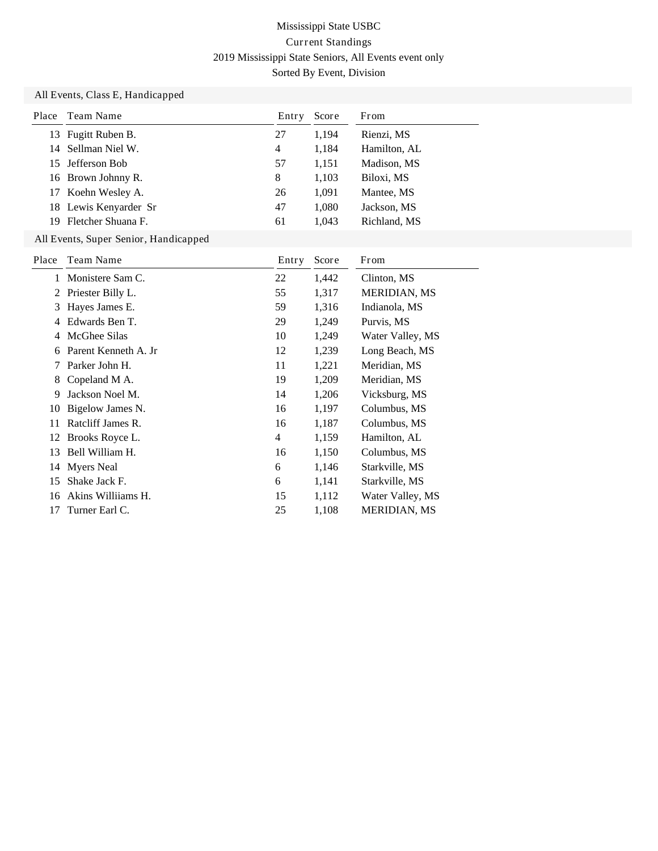#### All Events, Class E, Handicapped

| Place | Team Name                             | Entry | Score | From                |
|-------|---------------------------------------|-------|-------|---------------------|
| 13    | Fugitt Ruben B.                       | 27    | 1,194 | Rienzi, MS          |
| 14    | Sellman Niel W.                       | 4     | 1,184 | Hamilton, AL        |
| 15    | Jefferson Bob                         | 57    | 1,151 | Madison, MS         |
| 16    | Brown Johnny R.                       | 8     | 1,103 | Biloxi, MS          |
| 17    | Koehn Wesley A.                       | 26    | 1,091 | Mantee, MS          |
| 18    | Lewis Kenyarder Sr                    | 47    | 1,080 | Jackson, MS         |
| 19    | Fletcher Shuana F.                    | 61    | 1,043 | Richland, MS        |
|       | All Events, Super Senior, Handicapped |       |       |                     |
| Place | Team Name                             | Entry | Score | From                |
|       | Monistere Sam C.                      | 22    | 1,442 | Clinton, MS         |
| 2     | Priester Billy L.                     | 55    | 1,317 | <b>MERIDIAN, MS</b> |
| 3     | Hayes James E.                        | 59    | 1,316 | Indianola, MS       |
| 4     | Edwards Ben T.                        | 29    | 1,249 | Purvis, MS          |
| 4     | McGhee Silas                          | 10    | 1,249 | Water Valley, MS    |
| 6     | Parent Kenneth A. Jr                  | 12    | 1,239 | Long Beach, MS      |
| 7     | Parker John H.                        | 11    | 1,221 | Meridian, MS        |
| 8     | Copeland M A.                         | 19    | 1,209 | Meridian, MS        |
| 9     | Jackson Noel M.                       | 14    | 1,206 | Vicksburg, MS       |
| 10    | Bigelow James N.                      | 16    | 1,197 | Columbus, MS        |
| 11    | Ratcliff James R.                     | 16    | 1,187 | Columbus, MS        |
| 12    | Brooks Royce L.                       | 4     | 1,159 | Hamilton, AL        |
| 13    | Bell William H.                       | 16    | 1,150 | Columbus, MS        |
| 14    | <b>Myers</b> Neal                     | 6     | 1,146 | Starkville, MS      |
| 15    | Shake Jack F.                         | 6     | 1,141 | Starkville, MS      |
| 16    | Akins Williiams H.                    | 15    | 1,112 | Water Valley, MS    |
| 17    | Turner Earl C.                        | 25    | 1,108 | MERIDIAN, MS        |